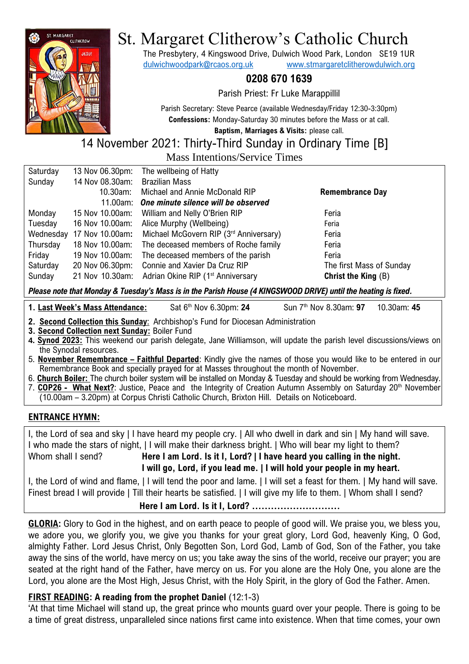

# St. Margaret Clitherow's Catholic Church

The Presbytery, 4 Kingswood Drive, Dulwich Wood Park, London SE19 1UR [dulwichwoodpark@rcaos.org.uk](mailto:dulwichwoodpark@rcaos.org.uk) [www.stmargaretclitherowdulwich.org](http://www.stmargaretclitherowdulwich.org/)

## **0208 670 1639**

Parish Priest: Fr Luke Marappillil

Parish Secretary: Steve Pearce (available Wednesday/Friday 12:30-3:30pm) **Confessions:** Monday-Saturday 30 minutes before the Mass or at call. **Baptism, Marriages & Visits:** please call.

14 November 2021: Thirty-Third Sunday in Ordinary Time [B]

Mass Intentions/Service Times

| Saturday | 13 Nov 06.30pm:           | The wellbeing of Hatty                        |                          |
|----------|---------------------------|-----------------------------------------------|--------------------------|
| Sunday   | 14 Nov 08.30am:           | <b>Brazilian Mass</b>                         |                          |
|          | 10.30am:                  | Michael and Annie McDonald RIP                | <b>Remembrance Day</b>   |
|          | 11.00am:                  | One minute silence will be observed           |                          |
| Monday   | 15 Nov 10.00am:           | William and Nelly O'Brien RIP                 | Feria                    |
| Tuesday  | 16 Nov 10.00am:           | Alice Murphy (Wellbeing)                      | Feria                    |
|          | Wednesday 17 Nov 10.00am: | Michael McGovern RIP (3rd Anniversary)        | Feria                    |
| Thursday | 18 Nov 10.00am:           | The deceased members of Roche family          | Feria                    |
| Friday   | 19 Nov 10.00am:           | The deceased members of the parish            | Feria                    |
| Saturday | 20 Nov 06.30pm:           | Connie and Xavier Da Cruz RIP                 | The first Mass of Sunday |
| Sunday   | 21 Nov 10.30am:           | Adrian Okine RIP (1 <sup>st</sup> Anniversary | Christ the King $(B)$    |

*Please note that Monday & Tuesday's Mass is in the Parish House (4 KINGSWOOD DRIVE) until the heating is fixed.*

**1. Last Week's Mass Attendance:** 

Sat 6<sup>th</sup> Nov 6.30pm: 24

th Nov 8.30am: **97** 10.30am: **45**

**2. Second Collection this Sunday**: Archbishop's Fund for Diocesan Administration

**3. Second Collection next Sunday:** Boiler Fund

- **4. Synod 2023:** This weekend our parish delegate, Jane Williamson, will update the parish level discussions/views on the Synodal resources.
- 5. **November Remembrance – Faithful Departed**: Kindly give the names of those you would like to be entered in our Remembrance Book and specially prayed for at Masses throughout the month of November.
- 6. **Church Boiler:** The church boiler system will be installed on Monday & Tuesday and should be working from Wednesday. 7. **COP26 - What Next?**: Justice, Peace and the Integrity of Creation Autumn Assembly on Saturday 20th November (10.00am – 3.20pm) at Corpus Christi Catholic Church, Brixton Hill. Details on Noticeboard.

## **ENTRANCE HYMN:**

I, the Lord of sea and sky | I have heard my people cry. | All who dwell in dark and sin | My hand will save. I who made the stars of night, | I will make their darkness bright. | Who will bear my light to them? Whom shall I send? **Here I am Lord. Is it I, Lord? | I have heard you calling in the night.** 

 **I will go, Lord, if you lead me. | I will hold your people in my heart.** 

I, the Lord of wind and flame, | I will tend the poor and lame. | I will set a feast for them. | My hand will save. Finest bread I will provide | Till their hearts be satisfied. | I will give my life to them. | Whom shall I send?

 **Here I am Lord. Is it I, Lord? ……………………….**

**GLORIA:** Glory to God in the highest, and on earth peace to people of good will. We praise you, we bless you, we adore you, we glorify you, we give you thanks for your great glory, Lord God, heavenly King, O God, almighty Father. Lord Jesus Christ, Only Begotten Son, Lord God, Lamb of God, Son of the Father, you take away the sins of the world, have mercy on us; you take away the sins of the world, receive our prayer; you are seated at the right hand of the Father, have mercy on us. For you alone are the Holy One, you alone are the Lord, you alone are the Most High, Jesus Christ, with the Holy Spirit, in the glory of God the Father. Amen.

## **FIRST READING: A reading from the prophet Daniel** (12:1-3)

'At that time Michael will stand up, the great prince who mounts guard over your people. There is going to be a time of great distress, unparalleled since nations first came into existence. When that time comes, your own